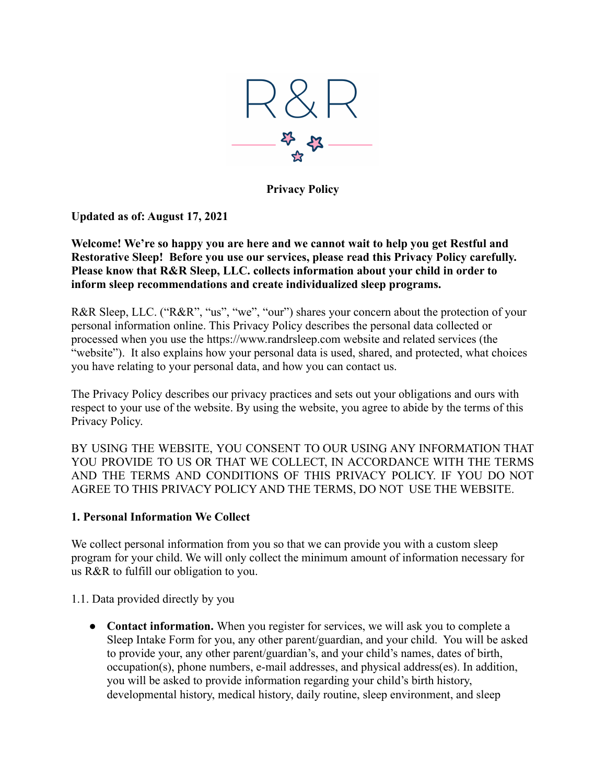

**Privacy Policy**

**Updated as of: August 17, 2021**

**Welcome! We're so happy you are here and we cannot wait to help you get Restful and Restorative Sleep! Before you use our services, please read this Privacy Policy carefully. Please know that R&R Sleep, LLC. collects information about your child in order to inform sleep recommendations and create individualized sleep programs.**

R&R Sleep, LLC. ("R&R", "us", "we", "our") shares your concern about the protection of your personal information online. This Privacy Policy describes the personal data collected or processed when you use the https://www.randrsleep.com website and related services (the "website"). It also explains how your personal data is used, shared, and protected, what choices you have relating to your personal data, and how you can contact us.

The Privacy Policy describes our privacy practices and sets out your obligations and ours with respect to your use of the website. By using the website, you agree to abide by the terms of this Privacy Policy.

BY USING THE WEBSITE, YOU CONSENT TO OUR USING ANY INFORMATION THAT YOU PROVIDE TO US OR THAT WE COLLECT, IN ACCORDANCE WITH THE TERMS AND THE TERMS AND CONDITIONS OF THIS PRIVACY POLICY. IF YOU DO NOT AGREE TO THIS PRIVACY POLICY AND THE TERMS, DO NOT USE THE WEBSITE.

## **1. Personal Information We Collect**

We collect personal information from you so that we can provide you with a custom sleep program for your child. We will only collect the minimum amount of information necessary for us R&R to fulfill our obligation to you.

1.1. Data provided directly by you

• **Contact information.** When you register for services, we will ask you to complete a Sleep Intake Form for you, any other parent/guardian, and your child. You will be asked to provide your, any other parent/guardian's, and your child's names, dates of birth, occupation(s), phone numbers, e-mail addresses, and physical address(es). In addition, you will be asked to provide information regarding your child's birth history, developmental history, medical history, daily routine, sleep environment, and sleep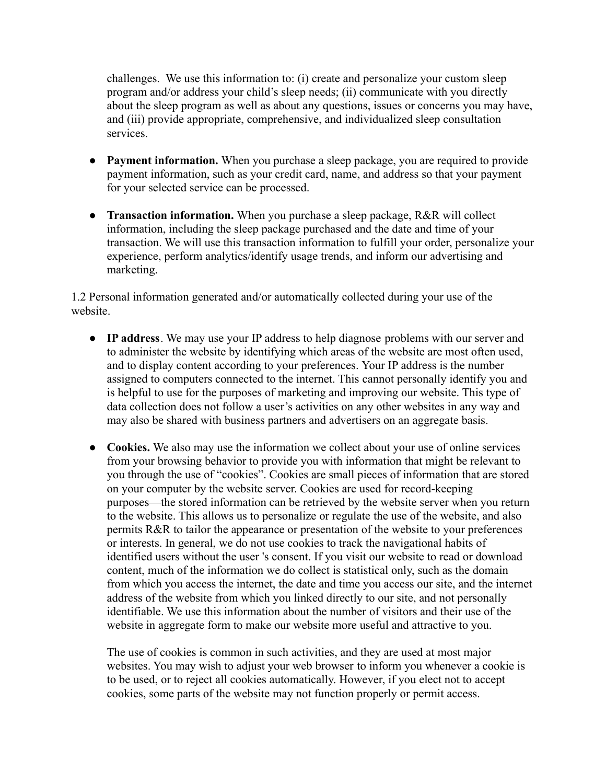challenges. We use this information to: (i) create and personalize your custom sleep program and/or address your child's sleep needs; (ii) communicate with you directly about the sleep program as well as about any questions, issues or concerns you may have, and (iii) provide appropriate, comprehensive, and individualized sleep consultation services.

- **Payment information.** When you purchase a sleep package, you are required to provide payment information, such as your credit card, name, and address so that your payment for your selected service can be processed.
- **Transaction information.** When you purchase a sleep package, R&R will collect information, including the sleep package purchased and the date and time of your transaction. We will use this transaction information to fulfill your order, personalize your experience, perform analytics/identify usage trends, and inform our advertising and marketing.

1.2 Personal information generated and/or automatically collected during your use of the website.

- **IP address**. We may use your IP address to help diagnose problems with our server and to administer the website by identifying which areas of the website are most often used, and to display content according to your preferences. Your IP address is the number assigned to computers connected to the internet. This cannot personally identify you and is helpful to use for the purposes of marketing and improving our website. This type of data collection does not follow a user's activities on any other websites in any way and may also be shared with business partners and advertisers on an aggregate basis.
- Cookies. We also may use the information we collect about your use of online services from your browsing behavior to provide you with information that might be relevant to you through the use of "cookies". Cookies are small pieces of information that are stored on your computer by the website server. Cookies are used for record-keeping purposes—the stored information can be retrieved by the website server when you return to the website. This allows us to personalize or regulate the use of the website, and also permits R&R to tailor the appearance or presentation of the website to your preferences or interests. In general, we do not use cookies to track the navigational habits of identified users without the user 's consent. If you visit our website to read or download content, much of the information we do collect is statistical only, such as the domain from which you access the internet, the date and time you access our site, and the internet address of the website from which you linked directly to our site, and not personally identifiable. We use this information about the number of visitors and their use of the website in aggregate form to make our website more useful and attractive to you.

The use of cookies is common in such activities, and they are used at most major websites. You may wish to adjust your web browser to inform you whenever a cookie is to be used, or to reject all cookies automatically. However, if you elect not to accept cookies, some parts of the website may not function properly or permit access.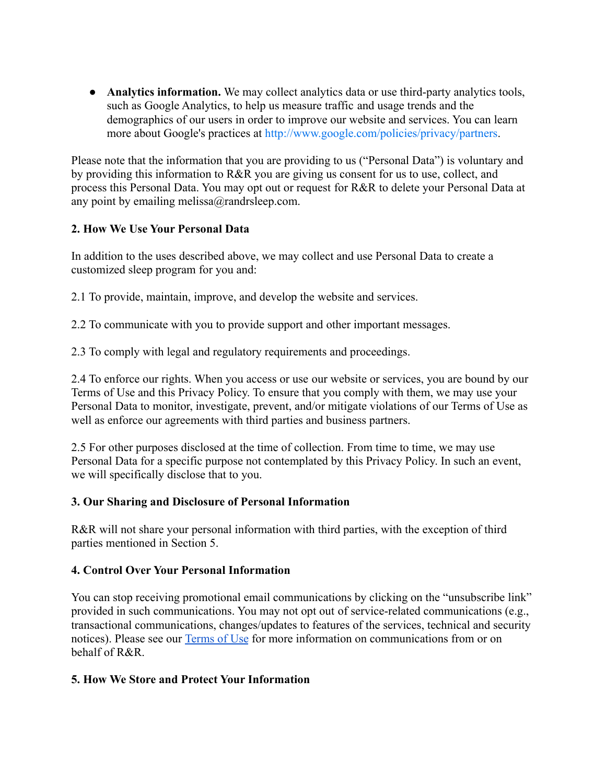• **Analytics information.** We may collect analytics data or use third-party analytics tools, such as Google Analytics, to help us measure traffic and usage trends and the demographics of our users in order to improve our website and services. You can learn more about Google's practices at [http://www.google.com/policies/privacy/partners.](http://www.google.com/policies/privacy/partners)

Please note that the information that you are providing to us ("Personal Data") is voluntary and by providing this information to R&R you are giving us consent for us to use, collect, and process this Personal Data. You may opt out or request for R&R to delete your Personal Data at any point by emailing melissa@randrsleep.com.

# **2. How We Use Your Personal Data**

In addition to the uses described above, we may collect and use Personal Data to create a customized sleep program for you and:

2.1 To provide, maintain, improve, and develop the website and services.

2.2 To communicate with you to provide support and other important messages.

2.3 To comply with legal and regulatory requirements and proceedings.

2.4 To enforce our rights. When you access or use our website or services, you are bound by our Terms of Use and this Privacy Policy. To ensure that you comply with them, we may use your Personal Data to monitor, investigate, prevent, and/or mitigate violations of our Terms of Use as well as enforce our agreements with third parties and business partners.

2.5 For other purposes disclosed at the time of collection. From time to time, we may use Personal Data for a specific purpose not contemplated by this Privacy Policy. In such an event, we will specifically disclose that to you.

# **3. Our Sharing and Disclosure of Personal Information**

R&R will not share your personal information with third parties, with the exception of third parties mentioned in Section 5.

## **4. Control Over Your Personal Information**

You can stop receiving promotional email communications by clicking on the "unsubscribe link" provided in such communications. You may not opt out of service-related communications (e.g., transactional communications, changes/updates to features of the services, technical and security notices). Please see our [Terms of Use](https://f9c5d4b4-500d-4e24-b4df-83bc8e9fabde.filesusr.com/ugd/3969b8_494581ef909d4e72bff66290e835d45d.pdf) for more information on communications from or on behalf of R&R.

## **5. How We Store and Protect Your Information**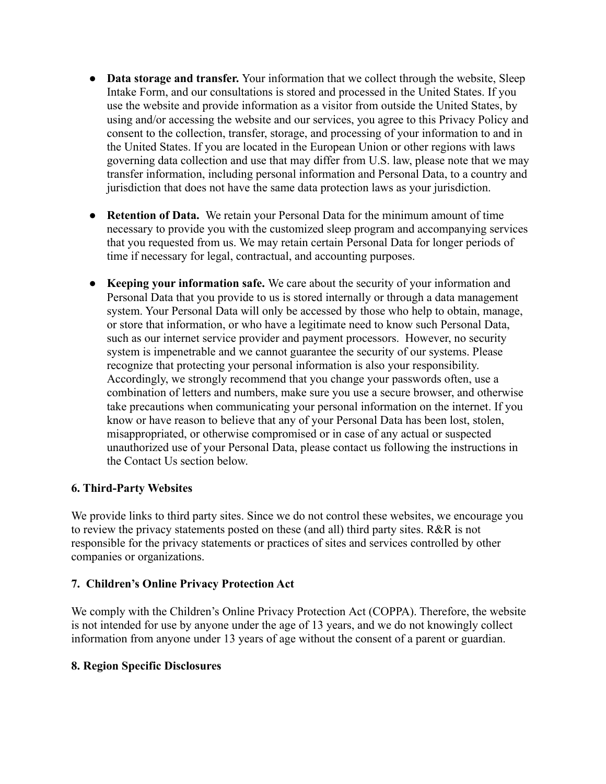- **Data storage and transfer.** Your information that we collect through the website, Sleep Intake Form, and our consultations is stored and processed in the United States. If you use the website and provide information as a visitor from outside the United States, by using and/or accessing the website and our services, you agree to this Privacy Policy and consent to the collection, transfer, storage, and processing of your information to and in the United States. If you are located in the European Union or other regions with laws governing data collection and use that may differ from U.S. law, please note that we may transfer information, including personal information and Personal Data, to a country and jurisdiction that does not have the same data protection laws as your jurisdiction.
- **Retention of Data.** We retain your Personal Data for the minimum amount of time necessary to provide you with the customized sleep program and accompanying services that you requested from us. We may retain certain Personal Data for longer periods of time if necessary for legal, contractual, and accounting purposes.
- **Keeping your information safe.** We care about the security of your information and Personal Data that you provide to us is stored internally or through a data management system. Your Personal Data will only be accessed by those who help to obtain, manage, or store that information, or who have a legitimate need to know such Personal Data, such as our internet service provider and payment processors. However, no security system is impenetrable and we cannot guarantee the security of our systems. Please recognize that protecting your personal information is also your responsibility. Accordingly, we strongly recommend that you change your passwords often, use a combination of letters and numbers, make sure you use a secure browser, and otherwise take precautions when communicating your personal information on the internet. If you know or have reason to believe that any of your Personal Data has been lost, stolen, misappropriated, or otherwise compromised or in case of any actual or suspected unauthorized use of your Personal Data, please contact us following the instructions in the Contact Us section below.

## **6. Third-Party Websites**

We provide links to third party sites. Since we do not control these websites, we encourage you to review the privacy statements posted on these (and all) third party sites. R&R is not responsible for the privacy statements or practices of sites and services controlled by other companies or organizations.

### **7. Children's Online Privacy Protection Act**

We comply with the Children's Online Privacy Protection Act (COPPA). Therefore, the website is not intended for use by anyone under the age of 13 years, and we do not knowingly collect information from anyone under 13 years of age without the consent of a parent or guardian.

### **8. Region Specific Disclosures**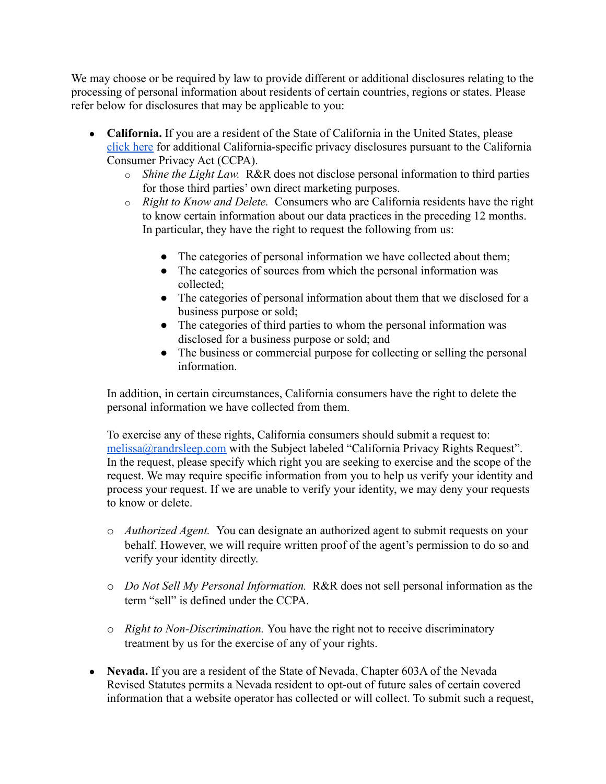We may choose or be required by law to provide different or additional disclosures relating to the processing of personal information about residents of certain countries, regions or states. Please refer below for disclosures that may be applicable to you:

- **California.** If you are a resident of the State of California in the United States, please [click here](https://oag.ca.gov/privacy/ccpa) for additional California-specific privacy disclosures pursuant to the California Consumer Privacy Act (CCPA).
	- o *Shine the Light Law.* R&R does not disclose personal information to third parties for those third parties' own direct marketing purposes.
	- o *Right to Know and Delete.* Consumers who are California residents have the right to know certain information about our data practices in the preceding 12 months. In particular, they have the right to request the following from us:
		- The categories of personal information we have collected about them;
		- The categories of sources from which the personal information was collected;
		- The categories of personal information about them that we disclosed for a business purpose or sold;
		- The categories of third parties to whom the personal information was disclosed for a business purpose or sold; and
		- The business or commercial purpose for collecting or selling the personal information.

In addition, in certain circumstances, California consumers have the right to delete the personal information we have collected from them.

To exercise any of these rights, California consumers should submit a request to: [melissa@randrsleep.com](mailto:melissa@randrsleep.com) with the Subject labeled "California Privacy Rights Request". In the request, please specify which right you are seeking to exercise and the scope of the request. We may require specific information from you to help us verify your identity and process your request. If we are unable to verify your identity, we may deny your requests to know or delete.

- o *Authorized Agent.* You can designate an authorized agent to submit requests on your behalf. However, we will require written proof of the agent's permission to do so and verify your identity directly.
- o *Do Not Sell My Personal Information.* R&R does not sell personal information as the term "sell" is defined under the CCPA.
- o *Right to Non-Discrimination.* You have the right not to receive discriminatory treatment by us for the exercise of any of your rights.
- **Nevada.** If you are a resident of the State of Nevada, Chapter 603A of the Nevada Revised Statutes permits a Nevada resident to opt-out of future sales of certain covered information that a website operator has collected or will collect. To submit such a request,